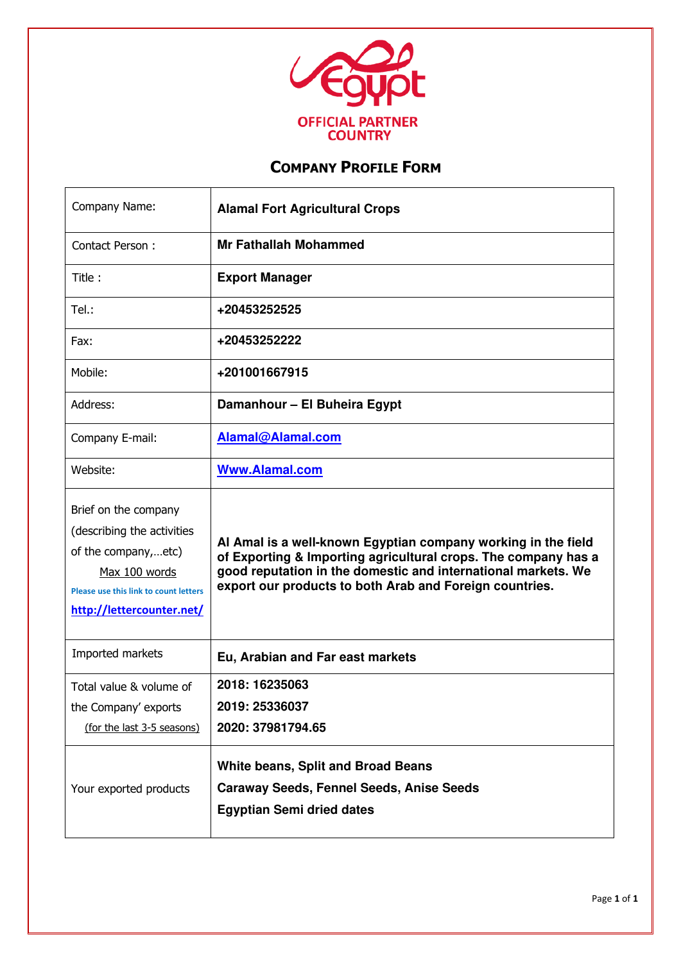

 $\mathbf{r}$ 

| Company Name:                                                                                                                                                           | <b>Alamal Fort Agricultural Crops</b>                                                                                                                                                                                                                       |
|-------------------------------------------------------------------------------------------------------------------------------------------------------------------------|-------------------------------------------------------------------------------------------------------------------------------------------------------------------------------------------------------------------------------------------------------------|
| Contact Person:                                                                                                                                                         | <b>Mr Fathallah Mohammed</b>                                                                                                                                                                                                                                |
| Title:                                                                                                                                                                  | <b>Export Manager</b>                                                                                                                                                                                                                                       |
| Tel.:                                                                                                                                                                   | +20453252525                                                                                                                                                                                                                                                |
| Fax:                                                                                                                                                                    | +20453252222                                                                                                                                                                                                                                                |
| Mobile:                                                                                                                                                                 | +201001667915                                                                                                                                                                                                                                               |
| Address:                                                                                                                                                                | Damanhour - El Buheira Egypt                                                                                                                                                                                                                                |
| Company E-mail:                                                                                                                                                         | Alamal@Alamal.com                                                                                                                                                                                                                                           |
| Website:                                                                                                                                                                | <b>Www.Alamal.com</b>                                                                                                                                                                                                                                       |
| Brief on the company<br>(describing the activities<br>of the company,etc)<br>Max 100 words<br><b>Please use this link to count letters</b><br>http://lettercounter.net/ | Al Amal is a well-known Egyptian company working in the field<br>of Exporting & Importing agricultural crops. The company has a<br>good reputation in the domestic and international markets. We<br>export our products to both Arab and Foreign countries. |
| Imported markets                                                                                                                                                        | Eu, Arabian and Far east markets                                                                                                                                                                                                                            |
| Total value & volume of<br>the Company' exports<br>(for the last 3-5 seasons)                                                                                           | 2018: 16235063<br>2019: 25336037<br>2020: 37981794.65                                                                                                                                                                                                       |
| Your exported products                                                                                                                                                  | <b>White beans, Split and Broad Beans</b><br><b>Caraway Seeds, Fennel Seeds, Anise Seeds</b><br><b>Egyptian Semi dried dates</b>                                                                                                                            |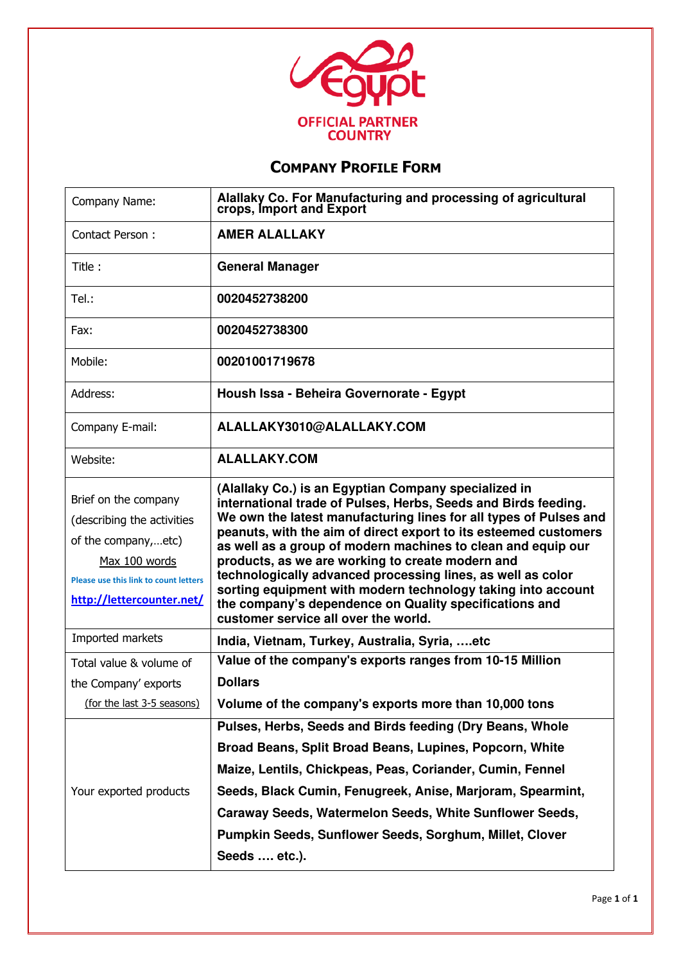

| Company Name:                                                                                                                                                           | Alallaky Co. For Manufacturing and processing of agricultural<br>crops, Import and Export                                                                                                                                                                                                                                                                                                                                                                                                                                                                                                                            |
|-------------------------------------------------------------------------------------------------------------------------------------------------------------------------|----------------------------------------------------------------------------------------------------------------------------------------------------------------------------------------------------------------------------------------------------------------------------------------------------------------------------------------------------------------------------------------------------------------------------------------------------------------------------------------------------------------------------------------------------------------------------------------------------------------------|
| Contact Person:                                                                                                                                                         | <b>AMER ALALLAKY</b>                                                                                                                                                                                                                                                                                                                                                                                                                                                                                                                                                                                                 |
| Title:                                                                                                                                                                  | <b>General Manager</b>                                                                                                                                                                                                                                                                                                                                                                                                                                                                                                                                                                                               |
| Tel.:                                                                                                                                                                   | 0020452738200                                                                                                                                                                                                                                                                                                                                                                                                                                                                                                                                                                                                        |
| Fax:                                                                                                                                                                    | 0020452738300                                                                                                                                                                                                                                                                                                                                                                                                                                                                                                                                                                                                        |
| Mobile:                                                                                                                                                                 | 00201001719678                                                                                                                                                                                                                                                                                                                                                                                                                                                                                                                                                                                                       |
| Address:                                                                                                                                                                | Housh Issa - Beheira Governorate - Egypt                                                                                                                                                                                                                                                                                                                                                                                                                                                                                                                                                                             |
| Company E-mail:                                                                                                                                                         | ALALLAKY3010@ALALLAKY.COM                                                                                                                                                                                                                                                                                                                                                                                                                                                                                                                                                                                            |
| Website:                                                                                                                                                                | <b>ALALLAKY.COM</b>                                                                                                                                                                                                                                                                                                                                                                                                                                                                                                                                                                                                  |
| Brief on the company<br>(describing the activities<br>of the company,etc)<br>Max 100 words<br><b>Please use this link to count letters</b><br>http://lettercounter.net/ | (Alallaky Co.) is an Egyptian Company specialized in<br>international trade of Pulses, Herbs, Seeds and Birds feeding.<br>We own the latest manufacturing lines for all types of Pulses and<br>peanuts, with the aim of direct export to its esteemed customers<br>as well as a group of modern machines to clean and equip our<br>products, as we are working to create modern and<br>technologically advanced processing lines, as well as color<br>sorting equipment with modern technology taking into account<br>the company's dependence on Quality specifications and<br>customer service all over the world. |
| Imported markets                                                                                                                                                        | India, Vietnam, Turkey, Australia, Syria, etc                                                                                                                                                                                                                                                                                                                                                                                                                                                                                                                                                                        |
| Total value & volume of                                                                                                                                                 | Value of the company's exports ranges from 10-15 Million                                                                                                                                                                                                                                                                                                                                                                                                                                                                                                                                                             |
| the Company' exports                                                                                                                                                    | <b>Dollars</b>                                                                                                                                                                                                                                                                                                                                                                                                                                                                                                                                                                                                       |
| (for the last 3-5 seasons)                                                                                                                                              | Volume of the company's exports more than 10,000 tons                                                                                                                                                                                                                                                                                                                                                                                                                                                                                                                                                                |
| Your exported products                                                                                                                                                  | Pulses, Herbs, Seeds and Birds feeding (Dry Beans, Whole<br>Broad Beans, Split Broad Beans, Lupines, Popcorn, White<br>Maize, Lentils, Chickpeas, Peas, Coriander, Cumin, Fennel<br>Seeds, Black Cumin, Fenugreek, Anise, Marjoram, Spearmint,<br>Caraway Seeds, Watermelon Seeds, White Sunflower Seeds,<br>Pumpkin Seeds, Sunflower Seeds, Sorghum, Millet, Clover<br>Seeds  etc.).                                                                                                                                                                                                                                |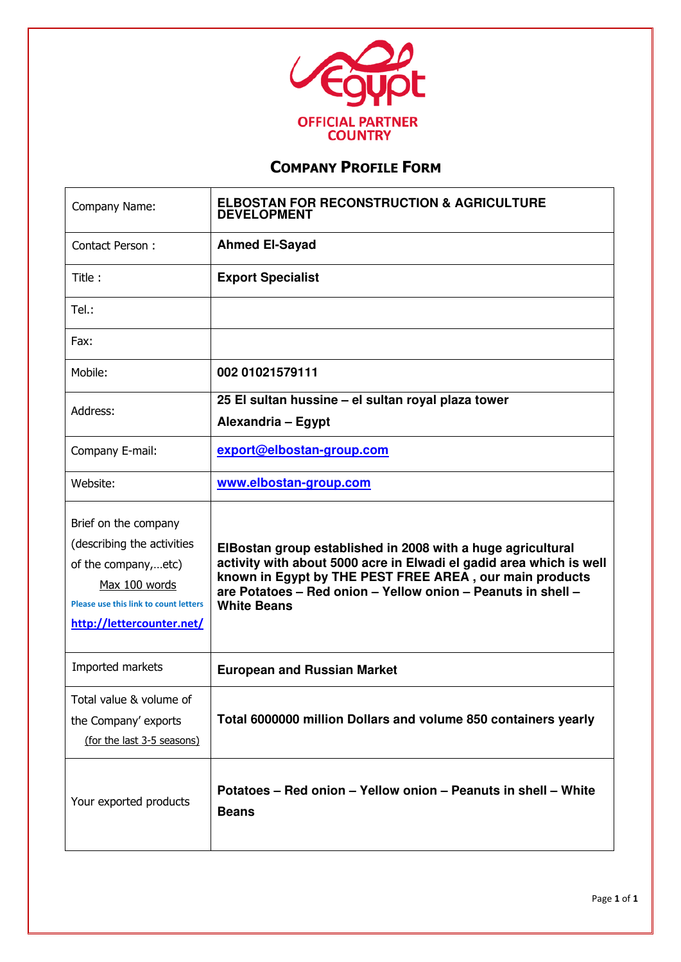

| Company Name:                                                                                                                                                           | <b>ELBOSTAN FOR RECONSTRUCTION &amp; AGRICULTURE</b><br><b>DEVELOPMENT</b>                                                                                                                                                                                                          |
|-------------------------------------------------------------------------------------------------------------------------------------------------------------------------|-------------------------------------------------------------------------------------------------------------------------------------------------------------------------------------------------------------------------------------------------------------------------------------|
| Contact Person:                                                                                                                                                         | <b>Ahmed El-Sayad</b>                                                                                                                                                                                                                                                               |
| Title:                                                                                                                                                                  | <b>Export Specialist</b>                                                                                                                                                                                                                                                            |
| Tel.:                                                                                                                                                                   |                                                                                                                                                                                                                                                                                     |
| Fax:                                                                                                                                                                    |                                                                                                                                                                                                                                                                                     |
| Mobile:                                                                                                                                                                 | 002 01021579111                                                                                                                                                                                                                                                                     |
| Address:                                                                                                                                                                | 25 El sultan hussine - el sultan royal plaza tower<br>Alexandria - Egypt                                                                                                                                                                                                            |
| Company E-mail:                                                                                                                                                         | export@elbostan-group.com                                                                                                                                                                                                                                                           |
| Website:                                                                                                                                                                | www.elbostan-group.com                                                                                                                                                                                                                                                              |
| Brief on the company<br>(describing the activities<br>of the company,etc)<br>Max 100 words<br><b>Please use this link to count letters</b><br>http://lettercounter.net/ | ElBostan group established in 2008 with a huge agricultural<br>activity with about 5000 acre in Elwadi el gadid area which is well<br>known in Egypt by THE PEST FREE AREA, our main products<br>are Potatoes - Red onion - Yellow onion - Peanuts in shell -<br><b>White Beans</b> |
| Imported markets                                                                                                                                                        | <b>European and Russian Market</b>                                                                                                                                                                                                                                                  |
| Total value & volume of<br>the Company' exports<br>(for the last 3-5 seasons)                                                                                           | Total 6000000 million Dollars and volume 850 containers yearly                                                                                                                                                                                                                      |
| Your exported products                                                                                                                                                  | Potatoes - Red onion - Yellow onion - Peanuts in shell - White<br><b>Beans</b>                                                                                                                                                                                                      |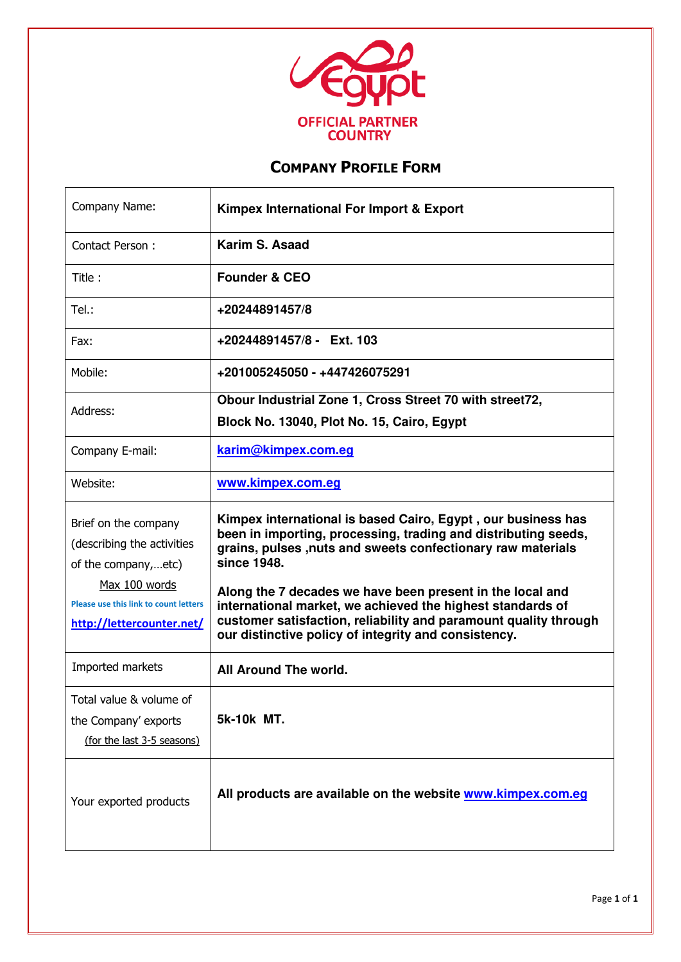

| Company Name:                                                                              | <b>Kimpex International For Import &amp; Export</b>                                                                                                                                                                                                 |
|--------------------------------------------------------------------------------------------|-----------------------------------------------------------------------------------------------------------------------------------------------------------------------------------------------------------------------------------------------------|
| Contact Person:                                                                            | Karim S. Asaad                                                                                                                                                                                                                                      |
| Title:                                                                                     | <b>Founder &amp; CEO</b>                                                                                                                                                                                                                            |
| Tel.:                                                                                      | +20244891457/8                                                                                                                                                                                                                                      |
| Fax:                                                                                       | +20244891457/8 - Ext. 103                                                                                                                                                                                                                           |
| Mobile:                                                                                    | +201005245050 - +447426075291                                                                                                                                                                                                                       |
| Address:                                                                                   | Obour Industrial Zone 1, Cross Street 70 with street72,<br>Block No. 13040, Plot No. 15, Cairo, Egypt                                                                                                                                               |
| Company E-mail:                                                                            | karim@kimpex.com.eq                                                                                                                                                                                                                                 |
| Website:                                                                                   | www.kimpex.com.eq                                                                                                                                                                                                                                   |
| Brief on the company<br>(describing the activities<br>of the company,etc)<br>Max 100 words | Kimpex international is based Cairo, Egypt, our business has<br>been in importing, processing, trading and distributing seeds,<br>grains, pulses ,nuts and sweets confectionary raw materials<br>since 1948.                                        |
| <b>Please use this link to count letters</b><br>http://lettercounter.net/                  | Along the 7 decades we have been present in the local and<br>international market, we achieved the highest standards of<br>customer satisfaction, reliability and paramount quality through<br>our distinctive policy of integrity and consistency. |
| Imported markets                                                                           | All Around The world.                                                                                                                                                                                                                               |
| Total value & volume of<br>the Company' exports<br>(for the last 3-5 seasons)              | 5k-10k MT.                                                                                                                                                                                                                                          |
| Your exported products                                                                     | All products are available on the website www.kimpex.com.eq                                                                                                                                                                                         |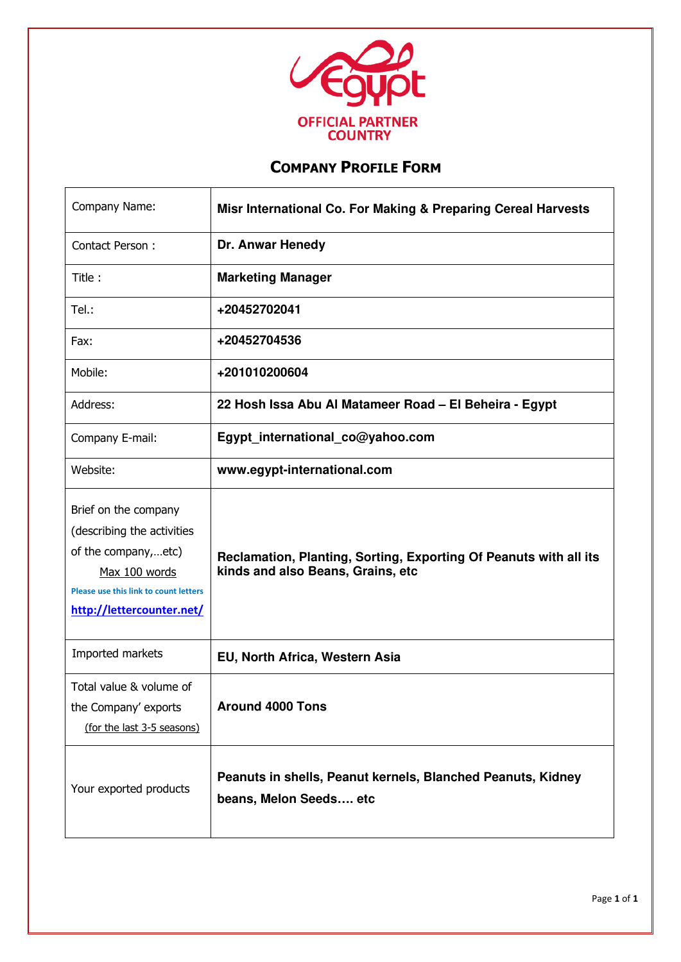

 $\mathbf{r}$ 

| Company Name:                                                                                                                                                    | Misr International Co. For Making & Preparing Cereal Harvests                                          |
|------------------------------------------------------------------------------------------------------------------------------------------------------------------|--------------------------------------------------------------------------------------------------------|
| Contact Person:                                                                                                                                                  | Dr. Anwar Henedy                                                                                       |
| Title:                                                                                                                                                           | <b>Marketing Manager</b>                                                                               |
| Tel.:                                                                                                                                                            | +20452702041                                                                                           |
| Fax:                                                                                                                                                             | +20452704536                                                                                           |
| Mobile:                                                                                                                                                          | +201010200604                                                                                          |
| Address:                                                                                                                                                         | 22 Hosh Issa Abu Al Matameer Road - El Beheira - Egypt                                                 |
| Company E-mail:                                                                                                                                                  | Egypt_international_co@yahoo.com                                                                       |
| Website:                                                                                                                                                         | www.egypt-international.com                                                                            |
| Brief on the company<br>(describing the activities<br>of the company,etc)<br>Max 100 words<br>Please use this link to count letters<br>http://lettercounter.net/ | Reclamation, Planting, Sorting, Exporting Of Peanuts with all its<br>kinds and also Beans, Grains, etc |
| Imported markets                                                                                                                                                 | EU, North Africa, Western Asia                                                                         |
| Total value & volume of<br>the Company' exports<br>(for the last 3-5 seasons)                                                                                    | <b>Around 4000 Tons</b>                                                                                |
| Your exported products                                                                                                                                           | Peanuts in shells, Peanut kernels, Blanched Peanuts, Kidney<br>beans, Melon Seeds etc                  |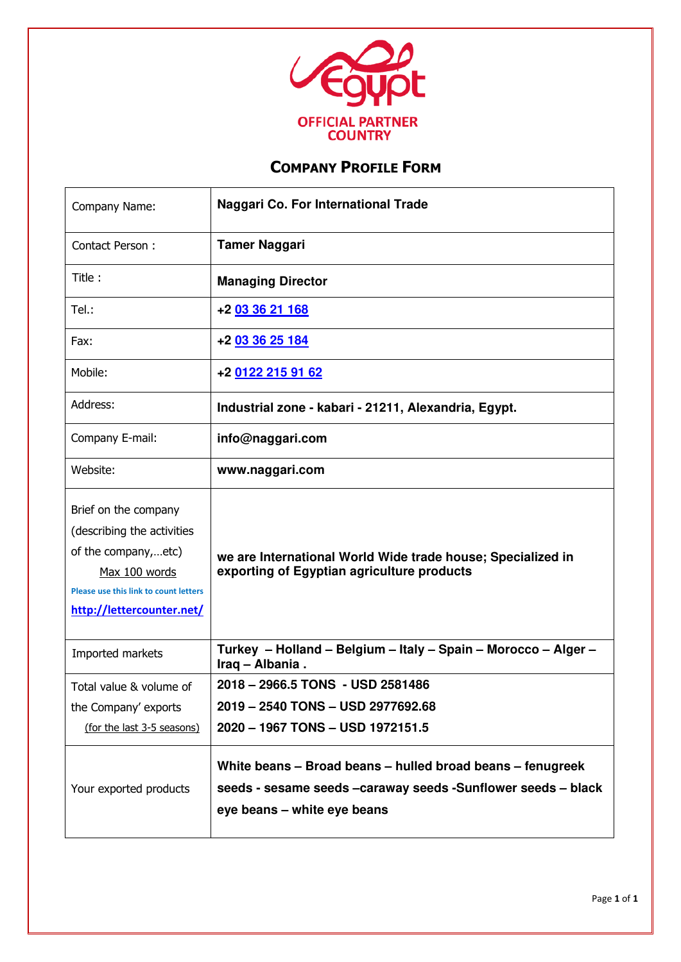

| Company Name:                                                                                                                                                    | Naggari Co. For International Trade                                                                                                                         |
|------------------------------------------------------------------------------------------------------------------------------------------------------------------|-------------------------------------------------------------------------------------------------------------------------------------------------------------|
| Contact Person:                                                                                                                                                  | <b>Tamer Naggari</b>                                                                                                                                        |
| Title:                                                                                                                                                           | <b>Managing Director</b>                                                                                                                                    |
| Tel.:                                                                                                                                                            | +2 03 36 21 168                                                                                                                                             |
| Fax:                                                                                                                                                             | +2 03 36 25 184                                                                                                                                             |
| Mobile:                                                                                                                                                          | +2 0122 215 91 62                                                                                                                                           |
| Address:                                                                                                                                                         | Industrial zone - kabari - 21211, Alexandria, Egypt.                                                                                                        |
| Company E-mail:                                                                                                                                                  | info@naggari.com                                                                                                                                            |
| Website:                                                                                                                                                         | www.naggari.com                                                                                                                                             |
| Brief on the company<br>(describing the activities<br>of the company,etc)<br>Max 100 words<br>Please use this link to count letters<br>http://lettercounter.net/ | we are International World Wide trade house; Specialized in<br>exporting of Egyptian agriculture products                                                   |
| Imported markets                                                                                                                                                 | Turkey - Holland - Belgium - Italy - Spain - Morocco - Alger -<br>Iraq - Albania.                                                                           |
| Total value & volume of                                                                                                                                          | 2018 - 2966.5 TONS - USD 2581486                                                                                                                            |
| the Company' exports                                                                                                                                             | 2019 - 2540 TONS - USD 2977692.68                                                                                                                           |
| (for the last 3-5 seasons)                                                                                                                                       | 2020 - 1967 TONS - USD 1972151.5                                                                                                                            |
| Your exported products                                                                                                                                           | White beans - Broad beans - hulled broad beans - fenugreek<br>seeds - sesame seeds - caraway seeds - Sunflower seeds - black<br>eye beans - white eye beans |